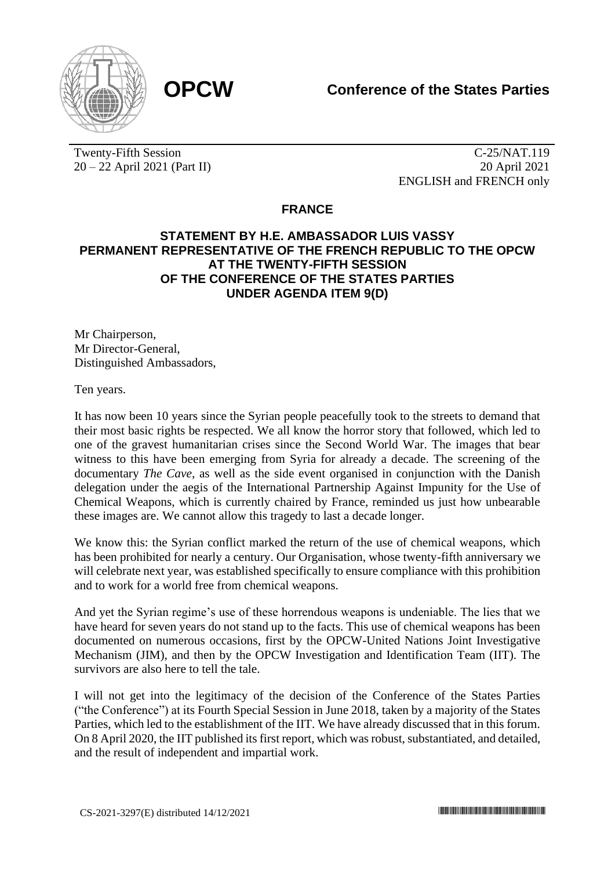



Twenty-Fifth Session 20 – 22 April 2021 (Part II)

C-25/NAT.119 20 April 2021 ENGLISH and FRENCH only

## **FRANCE**

## **STATEMENT BY H.E. AMBASSADOR LUIS VASSY PERMANENT REPRESENTATIVE OF THE FRENCH REPUBLIC TO THE OPCW AT THE TWENTY-FIFTH SESSION OF THE CONFERENCE OF THE STATES PARTIES UNDER AGENDA ITEM 9(D)**

Mr Chairperson, Mr Director-General Distinguished Ambassadors,

Ten years.

It has now been 10 years since the Syrian people peacefully took to the streets to demand that their most basic rights be respected. We all know the horror story that followed, which led to one of the gravest humanitarian crises since the Second World War. The images that bear witness to this have been emerging from Syria for already a decade. The screening of the documentary *The Cave*, as well as the side event organised in conjunction with the Danish delegation under the aegis of the International Partnership Against Impunity for the Use of Chemical Weapons, which is currently chaired by France, reminded us just how unbearable these images are. We cannot allow this tragedy to last a decade longer.

We know this: the Syrian conflict marked the return of the use of chemical weapons, which has been prohibited for nearly a century. Our Organisation, whose twenty-fifth anniversary we will celebrate next year, was established specifically to ensure compliance with this prohibition and to work for a world free from chemical weapons.

And yet the Syrian regime's use of these horrendous weapons is undeniable. The lies that we have heard for seven years do not stand up to the facts. This use of chemical weapons has been documented on numerous occasions, first by the OPCW-United Nations Joint Investigative Mechanism (JIM), and then by the OPCW Investigation and Identification Team (IIT). The survivors are also here to tell the tale.

I will not get into the legitimacy of the decision of the Conference of the States Parties ("the Conference") at its Fourth Special Session in June 2018, taken by a majority of the States Parties, which led to the establishment of the IIT. We have already discussed that in this forum. On 8 April 2020, the IIT published its first report, which was robust, substantiated, and detailed, and the result of independent and impartial work.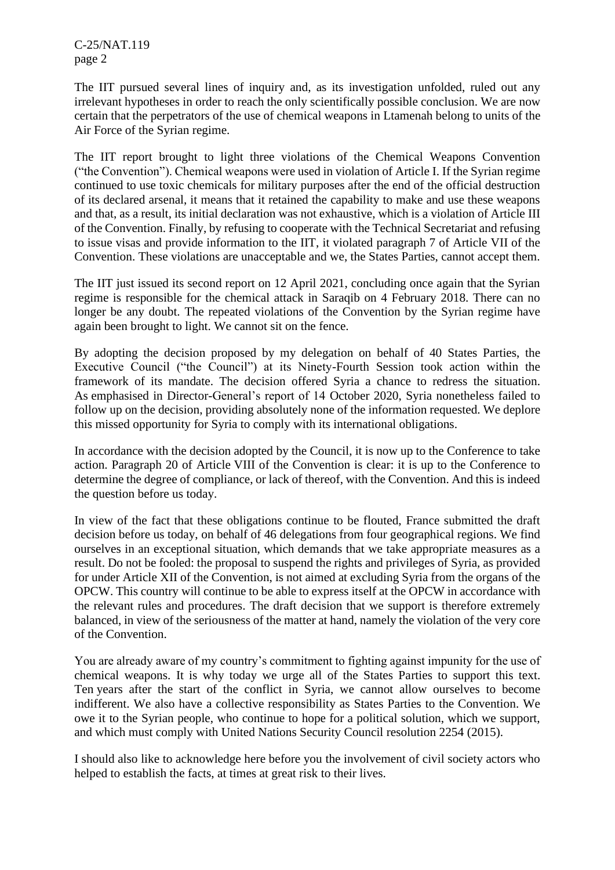C-25/NAT.119 page 2

The IIT pursued several lines of inquiry and, as its investigation unfolded, ruled out any irrelevant hypotheses in order to reach the only scientifically possible conclusion. We are now certain that the perpetrators of the use of chemical weapons in Ltamenah belong to units of the Air Force of the Syrian regime.

The IIT report brought to light three violations of the Chemical Weapons Convention ("the Convention"). Chemical weapons were used in violation of Article I. If the Syrian regime continued to use toxic chemicals for military purposes after the end of the official destruction of its declared arsenal, it means that it retained the capability to make and use these weapons and that, as a result, its initial declaration was not exhaustive, which is a violation of Article III of the Convention. Finally, by refusing to cooperate with the Technical Secretariat and refusing to issue visas and provide information to the IIT, it violated paragraph 7 of Article VII of the Convention. These violations are unacceptable and we, the States Parties, cannot accept them.

The IIT just issued its second report on 12 April 2021, concluding once again that the Syrian regime is responsible for the chemical attack in Saraqib on 4 February 2018. There can no longer be any doubt. The repeated violations of the Convention by the Syrian regime have again been brought to light. We cannot sit on the fence.

By adopting the decision proposed by my delegation on behalf of 40 States Parties, the Executive Council ("the Council") at its Ninety-Fourth Session took action within the framework of its mandate. The decision offered Syria a chance to redress the situation. As emphasised in Director-General's report of 14 October 2020, Syria nonetheless failed to follow up on the decision, providing absolutely none of the information requested. We deplore this missed opportunity for Syria to comply with its international obligations.

In accordance with the decision adopted by the Council, it is now up to the Conference to take action. Paragraph 20 of Article VIII of the Convention is clear: it is up to the Conference to determine the degree of compliance, or lack of thereof, with the Convention. And this is indeed the question before us today.

In view of the fact that these obligations continue to be flouted, France submitted the draft decision before us today, on behalf of 46 delegations from four geographical regions. We find ourselves in an exceptional situation, which demands that we take appropriate measures as a result. Do not be fooled: the proposal to suspend the rights and privileges of Syria, as provided for under Article XII of the Convention, is not aimed at excluding Syria from the organs of the OPCW. This country will continue to be able to express itself at the OPCW in accordance with the relevant rules and procedures. The draft decision that we support is therefore extremely balanced, in view of the seriousness of the matter at hand, namely the violation of the very core of the Convention.

You are already aware of my country's commitment to fighting against impunity for the use of chemical weapons. It is why today we urge all of the States Parties to support this text. Ten years after the start of the conflict in Syria, we cannot allow ourselves to become indifferent. We also have a collective responsibility as States Parties to the Convention. We owe it to the Syrian people, who continue to hope for a political solution, which we support, and which must comply with United Nations Security Council resolution 2254 (2015).

I should also like to acknowledge here before you the involvement of civil society actors who helped to establish the facts, at times at great risk to their lives.